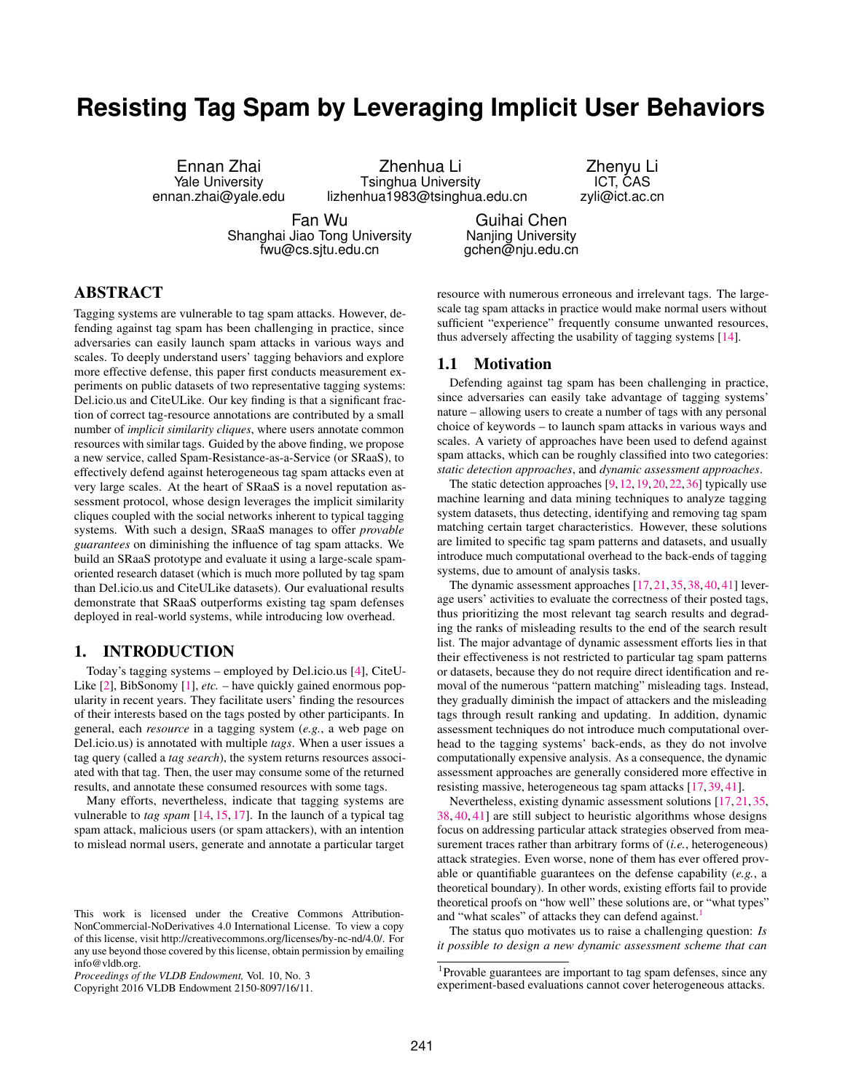# **Resisting Tag Spam by Leveraging Implicit User Behaviors**

Ennan Zhai Yale University ennan.zhai@yale.edu

Zhenhua Li Tsinghua University lizhenhua1983@tsinghua.edu.cn

Zhenyu Li ICT, CAS zyli@ict.ac.cn

Fan Wu Shanghai Jiao Tong University fwu@cs.sjtu.edu.cn

Guihai Chen Nanjing University gchen@nju.edu.cn

# ABSTRACT

Tagging systems are vulnerable to tag spam attacks. However, defending against tag spam has been challenging in practice, since adversaries can easily launch spam attacks in various ways and scales. To deeply understand users' tagging behaviors and explore more effective defense, this paper first conducts measurement experiments on public datasets of two representative tagging systems: Del.icio.us and CiteULike. Our key finding is that a significant fraction of correct tag-resource annotations are contributed by a small number of *implicit similarity cliques*, where users annotate common resources with similar tags. Guided by the above finding, we propose a new service, called Spam-Resistance-as-a-Service (or SRaaS), to effectively defend against heterogeneous tag spam attacks even at very large scales. At the heart of SRaaS is a novel reputation assessment protocol, whose design leverages the implicit similarity cliques coupled with the social networks inherent to typical tagging systems. With such a design, SRaaS manages to offer *provable guarantees* on diminishing the influence of tag spam attacks. We build an SRaaS prototype and evaluate it using a large-scale spamoriented research dataset (which is much more polluted by tag spam than Del.icio.us and CiteULike datasets). Our evaluational results demonstrate that SRaaS outperforms existing tag spam defenses deployed in real-world systems, while introducing low overhead.

# 1. INTRODUCTION

Today's tagging systems – employed by Del.icio.us [\[4\]](#page-11-0), CiteU-Like [\[2\]](#page-11-1), BibSonomy [\[1\]](#page-11-2), *etc.* – have quickly gained enormous popularity in recent years. They facilitate users' finding the resources of their interests based on the tags posted by other participants. In general, each *resource* in a tagging system (*e.g.*, a web page on Del.icio.us) is annotated with multiple *tags*. When a user issues a tag query (called a *tag search*), the system returns resources associated with that tag. Then, the user may consume some of the returned results, and annotate these consumed resources with some tags.

Many efforts, nevertheless, indicate that tagging systems are vulnerable to *tag spam* [\[14,](#page-11-3) [15,](#page-11-4) [17\]](#page-11-5). In the launch of a typical tag spam attack, malicious users (or spam attackers), with an intention to mislead normal users, generate and annotate a particular target

Copyright 2016 VLDB Endowment 2150-8097/16/11.

resource with numerous erroneous and irrelevant tags. The largescale tag spam attacks in practice would make normal users without sufficient "experience" frequently consume unwanted resources, thus adversely affecting the usability of tagging systems [\[14\]](#page-11-3).

## 1.1 Motivation

Defending against tag spam has been challenging in practice, since adversaries can easily take advantage of tagging systems' nature – allowing users to create a number of tags with any personal choice of keywords – to launch spam attacks in various ways and scales. A variety of approaches have been used to defend against spam attacks, which can be roughly classified into two categories: *static detection approaches*, and *dynamic assessment approaches*.

The static detection approaches [\[9,](#page-11-6)[12,](#page-11-7)[19,](#page-11-8)[20,](#page-11-9)[22,](#page-11-10)[36\]](#page-11-11) typically use machine learning and data mining techniques to analyze tagging system datasets, thus detecting, identifying and removing tag spam matching certain target characteristics. However, these solutions are limited to specific tag spam patterns and datasets, and usually introduce much computational overhead to the back-ends of tagging systems, due to amount of analysis tasks.

The dynamic assessment approaches [\[17,](#page-11-5) [21,](#page-11-12) [35,](#page-11-13) [38,](#page-11-14) [40,](#page-11-15) [41\]](#page-11-16) leverage users' activities to evaluate the correctness of their posted tags, thus prioritizing the most relevant tag search results and degrading the ranks of misleading results to the end of the search result list. The major advantage of dynamic assessment efforts lies in that their effectiveness is not restricted to particular tag spam patterns or datasets, because they do not require direct identification and removal of the numerous "pattern matching" misleading tags. Instead, they gradually diminish the impact of attackers and the misleading tags through result ranking and updating. In addition, dynamic assessment techniques do not introduce much computational overhead to the tagging systems' back-ends, as they do not involve computationally expensive analysis. As a consequence, the dynamic assessment approaches are generally considered more effective in resisting massive, heterogeneous tag spam attacks [\[17,](#page-11-5) [39,](#page-11-17) [41\]](#page-11-16).

Nevertheless, existing dynamic assessment solutions [\[17,](#page-11-5) [21,](#page-11-12) [35,](#page-11-13) [38,](#page-11-14) [40,](#page-11-15) [41\]](#page-11-16) are still subject to heuristic algorithms whose designs focus on addressing particular attack strategies observed from measurement traces rather than arbitrary forms of (*i.e.*, heterogeneous) attack strategies. Even worse, none of them has ever offered provable or quantifiable guarantees on the defense capability (*e.g.*, a theoretical boundary). In other words, existing efforts fail to provide theoretical proofs on "how well" these solutions are, or "what types" and "what scales" of attacks they can defend against.<sup>[1](#page-0-0)</sup>

The status quo motivates us to raise a challenging question: *Is it possible to design a new dynamic assessment scheme that can*

This work is licensed under the Creative Commons Attribution-NonCommercial-NoDerivatives 4.0 International License. To view a copy of this license, visit http://creativecommons.org/licenses/by-nc-nd/4.0/. For any use beyond those covered by this license, obtain permission by emailing info@vldb.org.

*Proceedings of the VLDB Endowment,* Vol. 10, No. 3

<span id="page-0-0"></span><sup>&</sup>lt;sup>1</sup>Provable guarantees are important to tag spam defenses, since any experiment-based evaluations cannot cover heterogeneous attacks.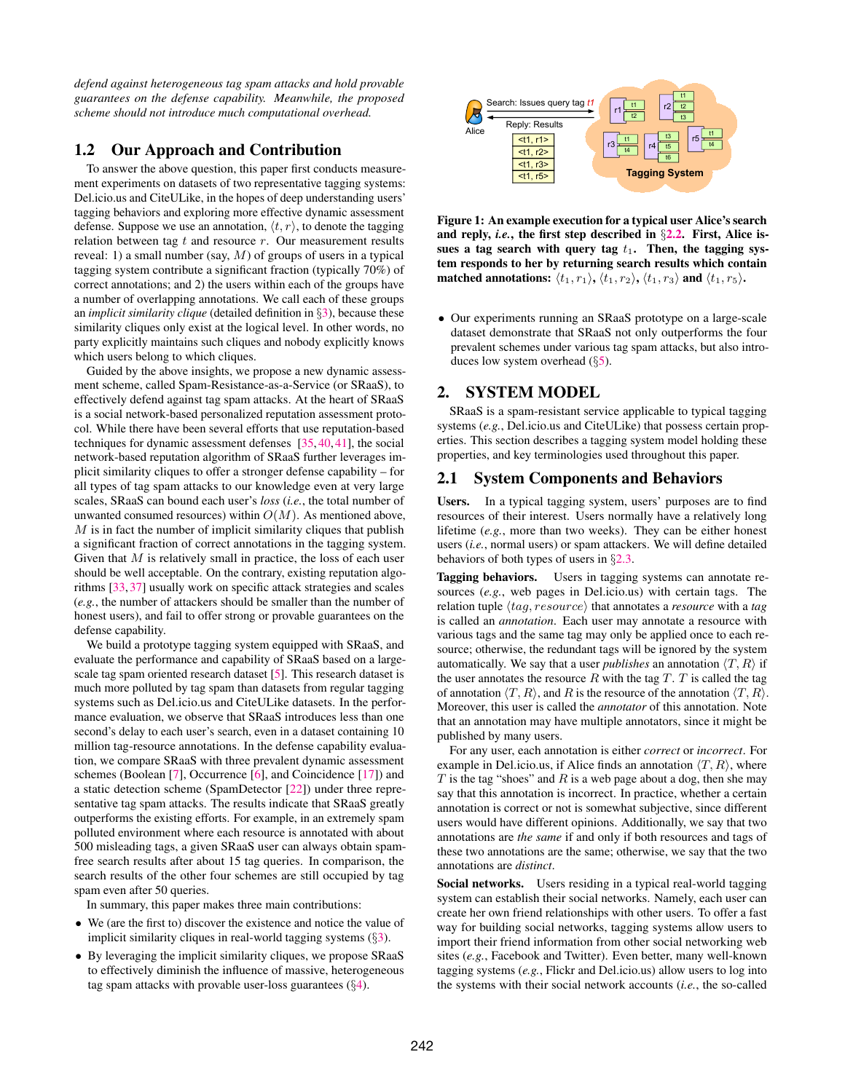*defend against heterogeneous tag spam attacks and hold provable guarantees on the defense capability. Meanwhile, the proposed scheme should not introduce much computational overhead.*

# 1.2 Our Approach and Contribution

To answer the above question, this paper first conducts measurement experiments on datasets of two representative tagging systems: Del.icio.us and CiteULike, in the hopes of deep understanding users' tagging behaviors and exploring more effective dynamic assessment defense. Suppose we use an annotation,  $\langle t, r \rangle$ , to denote the tagging relation between tag  $t$  and resource  $r$ . Our measurement results reveal: 1) a small number (say,  $M$ ) of groups of users in a typical tagging system contribute a significant fraction (typically 70%) of correct annotations; and 2) the users within each of the groups have a number of overlapping annotations. We call each of these groups an *implicit similarity clique* (detailed definition in §[3\)](#page-2-0), because these similarity cliques only exist at the logical level. In other words, no party explicitly maintains such cliques and nobody explicitly knows which users belong to which cliques.

Guided by the above insights, we propose a new dynamic assessment scheme, called Spam-Resistance-as-a-Service (or SRaaS), to effectively defend against tag spam attacks. At the heart of SRaaS is a social network-based personalized reputation assessment protocol. While there have been several efforts that use reputation-based techniques for dynamic assessment defenses [\[35,](#page-11-13) [40,](#page-11-15) [41\]](#page-11-16), the social network-based reputation algorithm of SRaaS further leverages implicit similarity cliques to offer a stronger defense capability – for all types of tag spam attacks to our knowledge even at very large scales, SRaaS can bound each user's *loss* (*i.e.*, the total number of unwanted consumed resources) within  $O(M)$ . As mentioned above,  $M$  is in fact the number of implicit similarity cliques that publish a significant fraction of correct annotations in the tagging system. Given that  $M$  is relatively small in practice, the loss of each user should be well acceptable. On the contrary, existing reputation algorithms [\[33,](#page-11-18) [37\]](#page-11-19) usually work on specific attack strategies and scales (*e.g.*, the number of attackers should be smaller than the number of honest users), and fail to offer strong or provable guarantees on the defense capability.

We build a prototype tagging system equipped with SRaaS, and evaluate the performance and capability of SRaaS based on a largescale tag spam oriented research dataset [\[5\]](#page-11-20). This research dataset is much more polluted by tag spam than datasets from regular tagging systems such as Del.icio.us and CiteULike datasets. In the performance evaluation, we observe that SRaaS introduces less than one second's delay to each user's search, even in a dataset containing 10 million tag-resource annotations. In the defense capability evaluation, we compare SRaaS with three prevalent dynamic assessment schemes (Boolean [\[7\]](#page-11-21), Occurrence [\[6\]](#page-11-22), and Coincidence [\[17\]](#page-11-5)) and a static detection scheme (SpamDetector [\[22\]](#page-11-10)) under three representative tag spam attacks. The results indicate that SRaaS greatly outperforms the existing efforts. For example, in an extremely spam polluted environment where each resource is annotated with about 500 misleading tags, a given SRaaS user can always obtain spamfree search results after about 15 tag queries. In comparison, the search results of the other four schemes are still occupied by tag spam even after 50 queries.

In summary, this paper makes three main contributions:

- We (are the first to) discover the existence and notice the value of implicit similarity cliques in real-world tagging systems (§[3\)](#page-2-0).
- By leveraging the implicit similarity cliques, we propose SRaaS to effectively diminish the influence of massive, heterogeneous tag spam attacks with provable user-loss guarantees  $(\S 4)$  $(\S 4)$ .



<span id="page-1-0"></span>Figure 1: An example execution for a typical user Alice's search and reply, *i.e.*, the first step described in §[2.2.](#page-2-1) First, Alice issues a tag search with query tag  $t_1$ . Then, the tagging system responds to her by returning search results which contain matched annotations:  $\langle t_1, r_1 \rangle$ ,  $\langle t_1, r_2 \rangle$ ,  $\langle t_1, r_3 \rangle$  and  $\langle t_1, r_5 \rangle$ .

• Our experiments running an SRaaS prototype on a large-scale dataset demonstrate that SRaaS not only outperforms the four prevalent schemes under various tag spam attacks, but also introduces low system overhead (§[5\)](#page-7-0).

## <span id="page-1-1"></span>2. SYSTEM MODEL

SRaaS is a spam-resistant service applicable to typical tagging systems (*e.g.*, Del.icio.us and CiteULike) that possess certain properties. This section describes a tagging system model holding these properties, and key terminologies used throughout this paper.

# 2.1 System Components and Behaviors

Users. In a typical tagging system, users' purposes are to find resources of their interest. Users normally have a relatively long lifetime (*e.g.*, more than two weeks). They can be either honest users (*i.e.*, normal users) or spam attackers. We will define detailed behaviors of both types of users in §[2.3.](#page-2-2)

Tagging behaviors. Users in tagging systems can annotate resources (*e.g.*, web pages in Del.icio.us) with certain tags. The relation tuple  $\langle tag, resource \rangle$  that annotates a *resource* with a *tag* is called an *annotation*. Each user may annotate a resource with various tags and the same tag may only be applied once to each resource; otherwise, the redundant tags will be ignored by the system automatically. We say that a user *publishes* an annotation  $\langle T, R \rangle$  if the user annotates the resource R with the tag  $T$ . T is called the tag of annotation  $\langle T, R \rangle$ , and R is the resource of the annotation  $\langle T, R \rangle$ . Moreover, this user is called the *annotator* of this annotation. Note that an annotation may have multiple annotators, since it might be published by many users.

For any user, each annotation is either *correct* or *incorrect*. For example in Del.icio.us, if Alice finds an annotation  $\langle T, R \rangle$ , where  $T$  is the tag "shoes" and  $R$  is a web page about a dog, then she may say that this annotation is incorrect. In practice, whether a certain annotation is correct or not is somewhat subjective, since different users would have different opinions. Additionally, we say that two annotations are *the same* if and only if both resources and tags of these two annotations are the same; otherwise, we say that the two annotations are *distinct*.

Social networks. Users residing in a typical real-world tagging system can establish their social networks. Namely, each user can create her own friend relationships with other users. To offer a fast way for building social networks, tagging systems allow users to import their friend information from other social networking web sites (*e.g.*, Facebook and Twitter). Even better, many well-known tagging systems (*e.g.*, Flickr and Del.icio.us) allow users to log into the systems with their social network accounts (*i.e.*, the so-called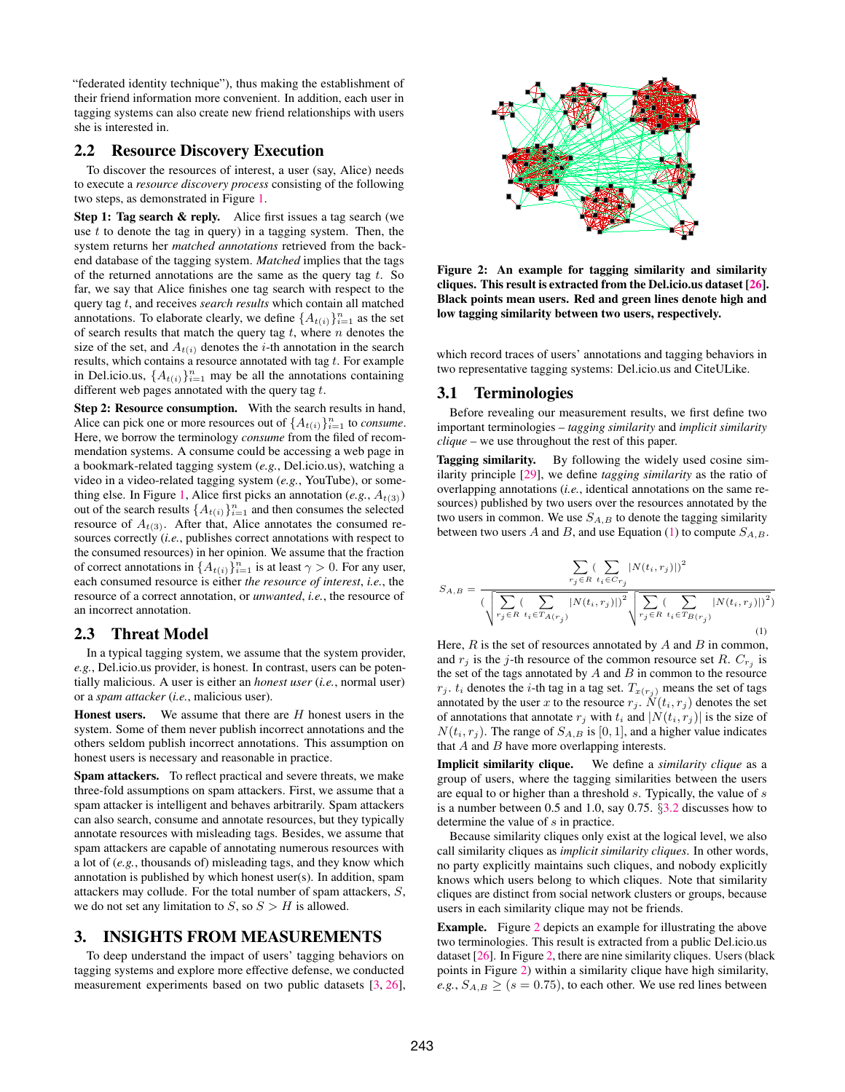"federated identity technique"), thus making the establishment of their friend information more convenient. In addition, each user in tagging systems can also create new friend relationships with users she is interested in.

# <span id="page-2-1"></span>2.2 Resource Discovery Execution

To discover the resources of interest, a user (say, Alice) needs to execute a *resource discovery process* consisting of the following two steps, as demonstrated in Figure [1.](#page-1-0)

Step 1: Tag search & reply. Alice first issues a tag search (we use  $t$  to denote the tag in query) in a tagging system. Then, the system returns her *matched annotations* retrieved from the backend database of the tagging system. *Matched* implies that the tags of the returned annotations are the same as the query tag  $t$ . So far, we say that Alice finishes one tag search with respect to the query tag t, and receives *search results* which contain all matched annotations. To elaborate clearly, we define  $\{A_{t(i)}\}_{i=1}^n$  as the set of search results that match the query tag  $t$ , where  $n$  denotes the size of the set, and  $A_{t(i)}$  denotes the *i*-th annotation in the search results, which contains a resource annotated with tag  $t$ . For example in Del.icio.us,  $\{A_{t(i)}\}_{i=1}^n$  may be all the annotations containing different web pages annotated with the query tag  $t$ .

Step 2: Resource consumption. With the search results in hand, Alice can pick one or more resources out of  $\{A_{t(i)}\}_{i=1}^n$  to *consume*. Here, we borrow the terminology *consume* from the filed of recommendation systems. A consume could be accessing a web page in a bookmark-related tagging system (*e.g.*, Del.icio.us), watching a video in a video-related tagging system (*e.g.*, YouTube), or some-thing else. In Figure [1,](#page-1-0) Alice first picks an annotation  $(e.g., A_{t(3)})$ out of the search results  $\{A_{t(i)}\}_{i=1}^n$  and then consumes the selected resource of  $A_{t(3)}$ . After that, Alice annotates the consumed resources correctly (*i.e.*, publishes correct annotations with respect to the consumed resources) in her opinion. We assume that the fraction of correct annotations in  $\{A_{t(i)}\}_{i=1}^n$  is at least  $\gamma > 0$ . For any user, each consumed resource is either *the resource of interest*, *i.e.*, the resource of a correct annotation, or *unwanted*, *i.e.*, the resource of an incorrect annotation.

#### <span id="page-2-2"></span>2.3 Threat Model

In a typical tagging system, we assume that the system provider, *e.g.*, Del.icio.us provider, is honest. In contrast, users can be potentially malicious. A user is either an *honest user* (*i.e.*, normal user) or a *spam attacker* (*i.e.*, malicious user).

**Honest users.** We assume that there are  $H$  honest users in the system. Some of them never publish incorrect annotations and the others seldom publish incorrect annotations. This assumption on honest users is necessary and reasonable in practice.

Spam attackers. To reflect practical and severe threats, we make three-fold assumptions on spam attackers. First, we assume that a spam attacker is intelligent and behaves arbitrarily. Spam attackers can also search, consume and annotate resources, but they typically annotate resources with misleading tags. Besides, we assume that spam attackers are capable of annotating numerous resources with a lot of (*e.g.*, thousands of) misleading tags, and they know which annotation is published by which honest user(s). In addition, spam attackers may collude. For the total number of spam attackers, S, we do not set any limitation to  $S$ , so  $S > H$  is allowed.

# <span id="page-2-0"></span>3. INSIGHTS FROM MEASUREMENTS

To deep understand the impact of users' tagging behaviors on tagging systems and explore more effective defense, we conducted measurement experiments based on two public datasets [\[3,](#page-11-23) [26\]](#page-11-24),



<span id="page-2-4"></span>Figure 2: An example for tagging similarity and similarity cliques. This result is extracted from the Del.icio.us dataset [\[26\]](#page-11-24). Black points mean users. Red and green lines denote high and low tagging similarity between two users, respectively.

which record traces of users' annotations and tagging behaviors in two representative tagging systems: Del.icio.us and CiteULike.

# <span id="page-2-5"></span>3.1 Terminologies

Before revealing our measurement results, we first define two important terminologies – *tagging similarity* and *implicit similarity clique* – we use throughout the rest of this paper.

Tagging similarity. By following the widely used cosine similarity principle [\[29\]](#page-11-25), we define *tagging similarity* as the ratio of overlapping annotations (*i.e.*, identical annotations on the same resources) published by two users over the resources annotated by the two users in common. We use  $S_{A,B}$  to denote the tagging similarity between two users A and B, and use Equation [\(1\)](#page-2-3) to compute  $S_{A,B}$ .

<span id="page-2-3"></span>
$$
S_{A,B} = \frac{\displaystyle\sum_{r_{j} \in R} (\displaystyle\sum_{t_{i} \in C_{r_{j}}} |N(t_{i},r_{j})|)^{2}}{(\sqrt{\displaystyle\sum_{r_{j} \in R} (\displaystyle\sum_{t_{i} \in T_{A(r_{j}})} |N(t_{i},r_{j})|)^{2}} \sqrt{\displaystyle\sum_{r_{j} \in R} (\displaystyle\sum_{t_{i} \in T_{B(r_{j}})} |N(t_{i},r_{j})|)^{2}})} \right)
$$
(1)

Here,  $R$  is the set of resources annotated by  $A$  and  $B$  in common, and  $r_j$  is the j-th resource of the common resource set R.  $C_{r_j}$  is the set of the tags annotated by  $A$  and  $B$  in common to the resource  $r_j$ .  $t_i$  denotes the *i*-th tag in a tag set.  $T_{x(r_j)}$  means the set of tags annotated by the user x to the resource  $r_j$ .  $\check{N}(t_i, r_j)$  denotes the set of annotations that annotate  $r_j$  with  $t_i$  and  $|N(t_i, r_j)|$  is the size of  $N(t_i, r_j)$ . The range of  $S_{A,B}$  is [0, 1], and a higher value indicates that  $A$  and  $B$  have more overlapping interests.

Implicit similarity clique. We define a *similarity clique* as a group of users, where the tagging similarities between the users are equal to or higher than a threshold s. Typically, the value of s is a number between 0.5 and 1.0, say 0.75. §[3.2](#page-3-1) discusses how to determine the value of s in practice.

Because similarity cliques only exist at the logical level, we also call similarity cliques as *implicit similarity cliques*. In other words, no party explicitly maintains such cliques, and nobody explicitly knows which users belong to which cliques. Note that similarity cliques are distinct from social network clusters or groups, because users in each similarity clique may not be friends.

Example. Figure [2](#page-2-4) depicts an example for illustrating the above two terminologies. This result is extracted from a public Del.icio.us dataset [\[26\]](#page-11-24). In Figure [2,](#page-2-4) there are nine similarity cliques. Users (black points in Figure [2\)](#page-2-4) within a similarity clique have high similarity, *e.g.*,  $S_{A,B} \geq (s = 0.75)$ , to each other. We use red lines between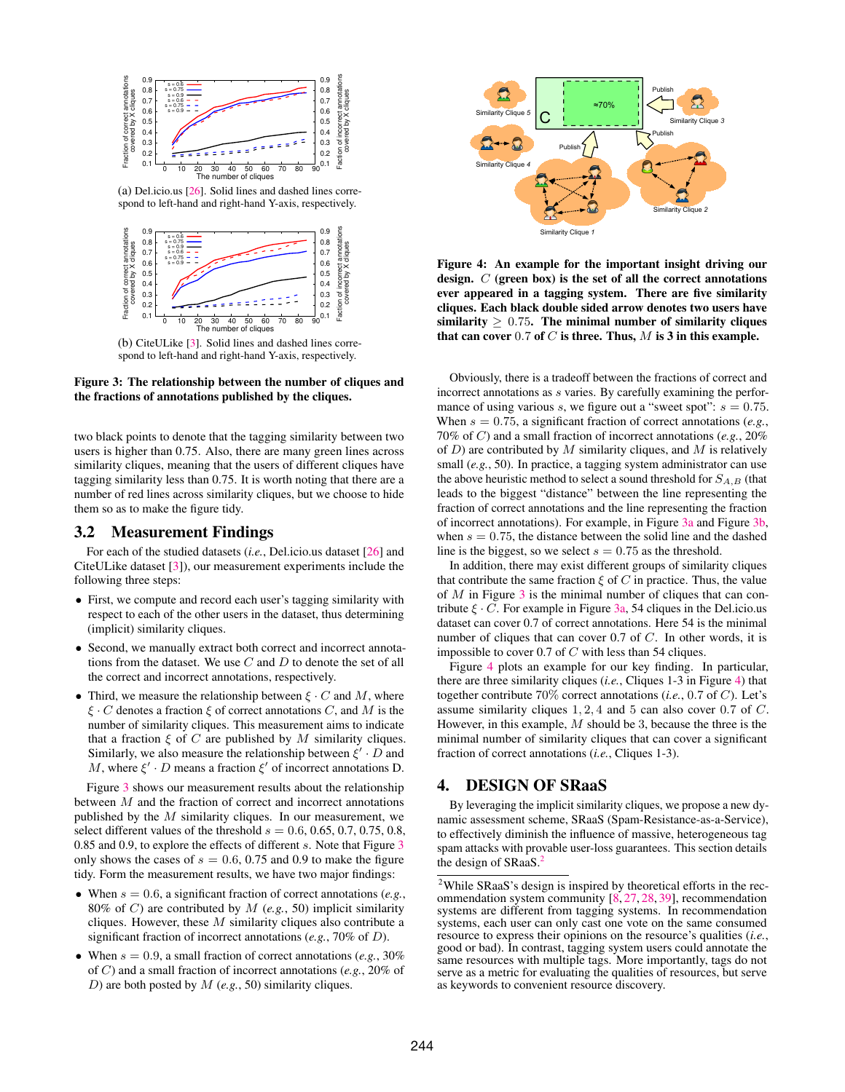<span id="page-3-3"></span>

(a) Del.icio.us [\[26\]](#page-11-24). Solid lines and dashed lines correspond to left-hand and right-hand Y-axis, respectively.

<span id="page-3-4"></span>

(b) CiteULike [\[3\]](#page-11-23). Solid lines and dashed lines correspond to left-hand and right-hand Y-axis, respectively.

Figure 3: The relationship between the number of cliques and the fractions of annotations published by the cliques.

two black points to denote that the tagging similarity between two users is higher than 0.75. Also, there are many green lines across similarity cliques, meaning that the users of different cliques have tagging similarity less than 0.75. It is worth noting that there are a number of red lines across similarity cliques, but we choose to hide them so as to make the figure tidy.

## <span id="page-3-1"></span>3.2 Measurement Findings

For each of the studied datasets (*i.e.*, Del.icio.us dataset [\[26\]](#page-11-24) and CiteULike dataset [\[3\]](#page-11-23)), our measurement experiments include the following three steps:

- First, we compute and record each user's tagging similarity with respect to each of the other users in the dataset, thus determining (implicit) similarity cliques.
- Second, we manually extract both correct and incorrect annotations from the dataset. We use  $C$  and  $D$  to denote the set of all the correct and incorrect annotations, respectively.
- Third, we measure the relationship between  $\xi \cdot C$  and M, where  $\xi \cdot C$  denotes a fraction  $\xi$  of correct annotations C, and M is the number of similarity cliques. This measurement aims to indicate that a fraction  $\xi$  of C are published by M similarity cliques. Similarly, we also measure the relationship between  $\xi' \cdot D$  and M, where  $\xi' \cdot D$  means a fraction  $\xi'$  of incorrect annotations D.

Figure [3](#page-3-2) shows our measurement results about the relationship between M and the fraction of correct and incorrect annotations published by the  $M$  similarity cliques. In our measurement, we select different values of the threshold  $s = 0.6, 0.65, 0.7, 0.75, 0.8$ , 0.85 and 0.9, to explore the effects of different s. Note that Figure [3](#page-3-2) only shows the cases of  $s = 0.6, 0.75$  and 0.9 to make the figure tidy. Form the measurement results, we have two major findings:

- When  $s = 0.6$ , a significant fraction of correct annotations (*e.g.*, 80% of C) are contributed by M (*e.g.*, 50) implicit similarity cliques. However, these  $M$  similarity cliques also contribute a significant fraction of incorrect annotations (*e.g.*, 70% of D).
- When  $s = 0.9$ , a small fraction of correct annotations (*e.g.*, 30%) of C) and a small fraction of incorrect annotations (*e.g.*, 20% of D) are both posted by M (*e.g.*, 50) similarity cliques.



<span id="page-3-5"></span>Figure 4: An example for the important insight driving our design. C (green box) is the set of all the correct annotations ever appeared in a tagging system. There are five similarity cliques. Each black double sided arrow denotes two users have similarity  $\geq 0.75$ . The minimal number of similarity cliques that can cover 0.7 of  $C$  is three. Thus,  $M$  is 3 in this example.

<span id="page-3-2"></span>Obviously, there is a tradeoff between the fractions of correct and incorrect annotations as s varies. By carefully examining the performance of using various s, we figure out a "sweet spot":  $s = 0.75$ . When  $s = 0.75$ , a significant fraction of correct annotations (*e.g.*, 70% of C) and a small fraction of incorrect annotations (*e.g.*, 20% of  $D$ ) are contributed by  $M$  similarity cliques, and  $M$  is relatively small (*e.g.*, 50). In practice, a tagging system administrator can use the above heuristic method to select a sound threshold for  $S_{A,B}$  (that leads to the biggest "distance" between the line representing the fraction of correct annotations and the line representing the fraction of incorrect annotations). For example, in Figure [3a](#page-3-3) and Figure [3b,](#page-3-4) when  $s = 0.75$ , the distance between the solid line and the dashed line is the biggest, so we select  $s = 0.75$  as the threshold.

In addition, there may exist different groups of similarity cliques that contribute the same fraction  $\xi$  of C in practice. Thus, the value of  $M$  in Figure [3](#page-3-2) is the minimal number of cliques that can contribute  $\xi \cdot C$ . For example in Figure [3a,](#page-3-3) 54 cliques in the Del.icio.us dataset can cover 0.7 of correct annotations. Here 54 is the minimal number of cliques that can cover 0.7 of C. In other words, it is impossible to cover 0.7 of  $C$  with less than 54 cliques.

Figure [4](#page-3-5) plots an example for our key finding. In particular, there are three similarity cliques (*i.e.*, Cliques 1-3 in Figure [4\)](#page-3-5) that together contribute 70% correct annotations (*i.e.*, 0.7 of C). Let's assume similarity cliques 1, 2, 4 and 5 can also cover 0.7 of C. However, in this example,  $M$  should be 3, because the three is the minimal number of similarity cliques that can cover a significant fraction of correct annotations (*i.e.*, Cliques 1-3).

#### <span id="page-3-0"></span>4. DESIGN OF SRaaS

By leveraging the implicit similarity cliques, we propose a new dynamic assessment scheme, SRaaS (Spam-Resistance-as-a-Service), to effectively diminish the influence of massive, heterogeneous tag spam attacks with provable user-loss guarantees. This section details the design of SRaaS.<sup>[2](#page-3-6)</sup>

<span id="page-3-6"></span><sup>&</sup>lt;sup>2</sup>While SRaaS's design is inspired by theoretical efforts in the recommendation system community [\[8,](#page-11-26) [27,](#page-11-27) [28,](#page-11-28) [39\]](#page-11-17), recommendation systems are different from tagging systems. In recommendation systems, each user can only cast one vote on the same consumed resource to express their opinions on the resource's qualities (*i.e.*, good or bad). In contrast, tagging system users could annotate the same resources with multiple tags. More importantly, tags do not serve as a metric for evaluating the qualities of resources, but serve as keywords to convenient resource discovery.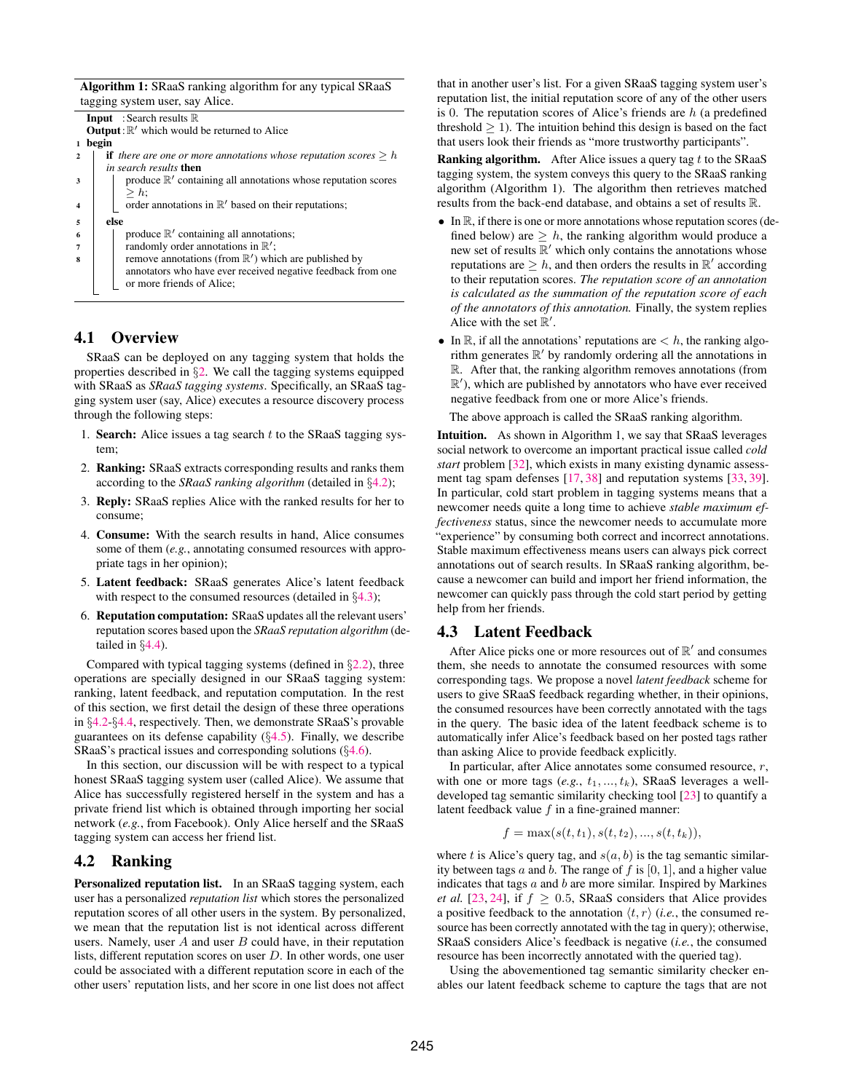Algorithm 1: SRaaS ranking algorithm for any typical SRaaS tagging system user, say Alice.

|                | <b>Input</b> : Search results $\mathbb R$                                    |
|----------------|------------------------------------------------------------------------------|
|                | <b>Output</b> : $\mathbb{R}'$ which would be returned to Alice               |
|                | begin                                                                        |
| $\mathfrak{D}$ | <b>if</b> there are one or more annotations whose reputation scores $\geq h$ |
|                | in search results then                                                       |
|                | produce $\mathbb{R}'$ containing all annotations whose reputation scores     |
|                | $> h$ :                                                                      |
|                | order annotations in $\mathbb{R}'$ based on their reputations;               |
|                |                                                                              |
| 5              | else                                                                         |
| 6              | produce $\mathbb{R}'$ containing all annotations;                            |
|                | randomly order annotations in $\mathbb{R}'$ ;                                |
| я              | remove annotations (from $\mathbb{R}'$ ) which are published by              |
|                | annotators who have ever received negative feedback from one                 |
|                | or more friends of Alice;                                                    |
|                |                                                                              |
|                |                                                                              |

# 4.1 Overview

SRaaS can be deployed on any tagging system that holds the properties described in §[2.](#page-1-1) We call the tagging systems equipped with SRaaS as *SRaaS tagging systems*. Specifically, an SRaaS tagging system user (say, Alice) executes a resource discovery process through the following steps:

- 1. Search: Alice issues a tag search  $t$  to the SRaaS tagging system;
- 2. Ranking: SRaaS extracts corresponding results and ranks them according to the *SRaaS ranking algorithm* (detailed in §[4.2\)](#page-4-0);
- 3. Reply: SRaaS replies Alice with the ranked results for her to consume;
- 4. Consume: With the search results in hand, Alice consumes some of them (*e.g.*, annotating consumed resources with appropriate tags in her opinion);
- 5. Latent feedback: SRaaS generates Alice's latent feedback with respect to the consumed resources (detailed in  $\S 4.3$ );
- 6. Reputation computation: SRaaS updates all the relevant users' reputation scores based upon the *SRaaS reputation algorithm* (detailed in §[4.4\)](#page-5-0).

Compared with typical tagging systems (defined in §[2.2\)](#page-2-1), three operations are specially designed in our SRaaS tagging system: ranking, latent feedback, and reputation computation. In the rest of this section, we first detail the design of these three operations in §[4.2-](#page-4-0)§[4.4,](#page-5-0) respectively. Then, we demonstrate SRaaS's provable guarantees on its defense capability  $(\S4.5)$  $(\S4.5)$ . Finally, we describe SRaaS's practical issues and corresponding solutions (§[4.6\)](#page-6-0).

In this section, our discussion will be with respect to a typical honest SRaaS tagging system user (called Alice). We assume that Alice has successfully registered herself in the system and has a private friend list which is obtained through importing her social network (*e.g.*, from Facebook). Only Alice herself and the SRaaS tagging system can access her friend list.

# <span id="page-4-0"></span>4.2 Ranking

Personalized reputation list. In an SRaaS tagging system, each user has a personalized *reputation list* which stores the personalized reputation scores of all other users in the system. By personalized, we mean that the reputation list is not identical across different users. Namely, user  $A$  and user  $B$  could have, in their reputation lists, different reputation scores on user  $D$ . In other words, one user could be associated with a different reputation score in each of the other users' reputation lists, and her score in one list does not affect that in another user's list. For a given SRaaS tagging system user's reputation list, the initial reputation score of any of the other users is 0. The reputation scores of Alice's friends are  $h$  (a predefined threshold  $\geq 1$ ). The intuition behind this design is based on the fact that users look their friends as "more trustworthy participants".

**Ranking algorithm.** After Alice issues a query tag  $t$  to the SRaaS tagging system, the system conveys this query to the SRaaS ranking algorithm (Algorithm 1). The algorithm then retrieves matched results from the back-end database, and obtains a set of results R.

- $\bullet$  In  $\mathbb{R}$ , if there is one or more annotations whose reputation scores (defined below) are  $\geq h$ , the ranking algorithm would produce a new set of results  $\mathbb{R}'$  which only contains the annotations whose reputations are  $\geq h$ , and then orders the results in  $\mathbb{R}'$  according to their reputation scores. *The reputation score of an annotation is calculated as the summation of the reputation score of each of the annotators of this annotation.* Finally, the system replies Alice with the set  $\mathbb{R}'$ .
- In  $\mathbb{R}$ , if all the annotations' reputations are  $\lt h$ , the ranking algorithm generates  $\mathbb{R}'$  by randomly ordering all the annotations in R. After that, the ranking algorithm removes annotations (from  $\mathbb{R}'$ ), which are published by annotators who have ever received negative feedback from one or more Alice's friends.

The above approach is called the SRaaS ranking algorithm.

Intuition. As shown in Algorithm 1, we say that SRaaS leverages social network to overcome an important practical issue called *cold start* problem [\[32\]](#page-11-29), which exists in many existing dynamic assessment tag spam defenses [\[17,](#page-11-5) [38\]](#page-11-14) and reputation systems [\[33,](#page-11-18) [39\]](#page-11-17). In particular, cold start problem in tagging systems means that a newcomer needs quite a long time to achieve *stable maximum effectiveness* status, since the newcomer needs to accumulate more "experience" by consuming both correct and incorrect annotations. Stable maximum effectiveness means users can always pick correct annotations out of search results. In SRaaS ranking algorithm, because a newcomer can build and import her friend information, the newcomer can quickly pass through the cold start period by getting help from her friends.

#### <span id="page-4-1"></span>4.3 Latent Feedback

After Alice picks one or more resources out of  $\mathbb{R}'$  and consumes them, she needs to annotate the consumed resources with some corresponding tags. We propose a novel *latent feedback* scheme for users to give SRaaS feedback regarding whether, in their opinions, the consumed resources have been correctly annotated with the tags in the query. The basic idea of the latent feedback scheme is to automatically infer Alice's feedback based on her posted tags rather than asking Alice to provide feedback explicitly.

In particular, after Alice annotates some consumed resource, r, with one or more tags  $(e.g., t_1, ..., t_k)$ , SRaaS leverages a welldeveloped tag semantic similarity checking tool [\[23\]](#page-11-30) to quantify a latent feedback value  $f$  in a fine-grained manner:

$$
f = \max(s(t, t_1), s(t, t_2), ..., s(t, t_k)),
$$

where t is Alice's query tag, and  $s(a, b)$  is the tag semantic similarity between tags a and b. The range of f is  $[0, 1]$ , and a higher value indicates that tags  $a$  and  $b$  are more similar. Inspired by Markines *et al.* [\[23,](#page-11-30) [24\]](#page-11-31), if  $f \geq 0.5$ , SRaaS considers that Alice provides a positive feedback to the annotation  $\langle t, r \rangle$  (*i.e.*, the consumed resource has been correctly annotated with the tag in query); otherwise, SRaaS considers Alice's feedback is negative (*i.e.*, the consumed resource has been incorrectly annotated with the queried tag).

Using the abovementioned tag semantic similarity checker enables our latent feedback scheme to capture the tags that are not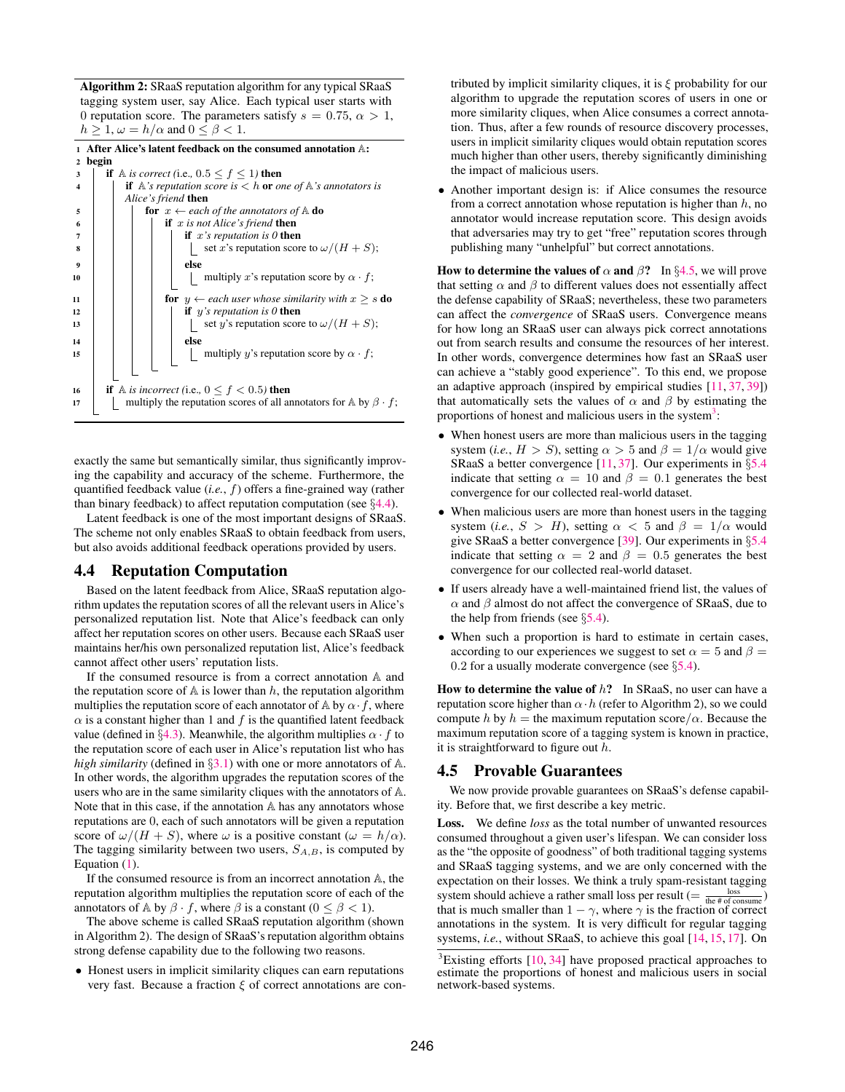Algorithm 2: SRaaS reputation algorithm for any typical SRaaS tagging system user, say Alice. Each typical user starts with 0 reputation score. The parameters satisfy  $s = 0.75$ ,  $\alpha > 1$ ,  $h \geq 1, \omega = h/\alpha$  and  $0 \leq \beta < 1$ .

| $\mathbf{1}$            | After Alice's latent feedback on the consumed annotation A:                                          |
|-------------------------|------------------------------------------------------------------------------------------------------|
| $\mathbf{2}$            | begin                                                                                                |
| 3                       | <b>if</b> A is correct (i.e., $0.5 \le f \le 1$ ) then                                               |
| $\overline{\mathbf{4}}$ | <b>if</b> $\mathbb{A}$ 's reputation score is $\lt$ h <b>or</b> one of $\mathbb{A}$ 's annotators is |
|                         | Alice's friend <b>then</b>                                                                           |
| 5                       | <b>for</b> $x \leftarrow$ each of the annotators of $\mathbb A$ <b>do</b>                            |
| 6                       | if $x$ is not Alice's friend then                                                                    |
| 7                       | <b>if</b> $x$ 's reputation is 0 <b>then</b>                                                         |
| 8                       | set x's reputation score to $\omega/(H+S)$ ;                                                         |
| 9                       | else                                                                                                 |
| 10                      | multiply x's reputation score by $\alpha \cdot f$ ;                                                  |
|                         |                                                                                                      |
| 11                      | <b>for</b> $y \leftarrow$ each user whose similarity with $x \geq s$ <b>do</b>                       |
| 12                      | <b>if</b> y's reputation is 0 <b>then</b>                                                            |
| 13                      | set y's reputation score to $\omega/(H+S)$ ;                                                         |
| 14                      | else                                                                                                 |
| 15                      | multiply y's reputation score by $\alpha \cdot f$ ;                                                  |
|                         |                                                                                                      |
|                         |                                                                                                      |
| 16                      | <b>if</b> A is incorrect (i.e., $0 \le f < 0.5$ ) then                                               |
| 17                      | multiply the reputation scores of all annotators for $\mathbb A$ by $\beta \cdot f$ ;                |
|                         |                                                                                                      |

exactly the same but semantically similar, thus significantly improving the capability and accuracy of the scheme. Furthermore, the quantified feedback value (*i.e.*, f) offers a fine-grained way (rather than binary feedback) to affect reputation computation (see §[4.4\)](#page-5-0).

Latent feedback is one of the most important designs of SRaaS. The scheme not only enables SRaaS to obtain feedback from users, but also avoids additional feedback operations provided by users.

#### <span id="page-5-0"></span>4.4 Reputation Computation

Based on the latent feedback from Alice, SRaaS reputation algorithm updates the reputation scores of all the relevant users in Alice's personalized reputation list. Note that Alice's feedback can only affect her reputation scores on other users. Because each SRaaS user maintains her/his own personalized reputation list, Alice's feedback cannot affect other users' reputation lists.

If the consumed resource is from a correct annotation A and the reputation score of  $A$  is lower than  $h$ , the reputation algorithm multiplies the reputation score of each annotator of A by  $\alpha \cdot f$ , where  $\alpha$  is a constant higher than 1 and f is the quantified latent feedback value (defined in §[4.3\)](#page-4-1). Meanwhile, the algorithm multiplies  $\alpha \cdot f$  to the reputation score of each user in Alice's reputation list who has *high similarity* (defined in §[3.1\)](#page-2-5) with one or more annotators of A. In other words, the algorithm upgrades the reputation scores of the users who are in the same similarity cliques with the annotators of A. Note that in this case, if the annotation A has any annotators whose reputations are 0, each of such annotators will be given a reputation score of  $\omega/(H+S)$ , where  $\omega$  is a positive constant  $(\omega = h/\alpha)$ . The tagging similarity between two users,  $S_{A,B}$ , is computed by Equation [\(1\)](#page-2-3).

If the consumed resource is from an incorrect annotation A, the reputation algorithm multiplies the reputation score of each of the annotators of A by  $\beta \cdot f$ , where  $\beta$  is a constant ( $0 \le \beta < 1$ ).

The above scheme is called SRaaS reputation algorithm (shown in Algorithm 2). The design of SRaaS's reputation algorithm obtains strong defense capability due to the following two reasons.

• Honest users in implicit similarity cliques can earn reputations very fast. Because a fraction  $\xi$  of correct annotations are contributed by implicit similarity cliques, it is  $\xi$  probability for our algorithm to upgrade the reputation scores of users in one or more similarity cliques, when Alice consumes a correct annotation. Thus, after a few rounds of resource discovery processes, users in implicit similarity cliques would obtain reputation scores much higher than other users, thereby significantly diminishing the impact of malicious users.

• Another important design is: if Alice consumes the resource from a correct annotation whose reputation is higher than  $h$ , no annotator would increase reputation score. This design avoids that adversaries may try to get "free" reputation scores through publishing many "unhelpful" but correct annotations.

How to determine the values of  $\alpha$  and  $\beta$ ? In §[4.5,](#page-5-1) we will prove that setting  $\alpha$  and  $\beta$  to different values does not essentially affect the defense capability of SRaaS; nevertheless, these two parameters can affect the *convergence* of SRaaS users. Convergence means for how long an SRaaS user can always pick correct annotations out from search results and consume the resources of her interest. In other words, convergence determines how fast an SRaaS user can achieve a "stably good experience". To this end, we propose an adaptive approach (inspired by empirical studies [\[11,](#page-11-32) [37,](#page-11-19) [39\]](#page-11-17)) that automatically sets the values of  $\alpha$  and  $\beta$  by estimating the proportions of honest and malicious users in the system<sup>[3](#page-5-2)</sup>:

- When honest users are more than malicious users in the tagging system (*i.e.*,  $H > S$ ), setting  $\alpha > 5$  and  $\beta = 1/\alpha$  would give SRaaS a better convergence  $[11, 37]$  $[11, 37]$  $[11, 37]$ . Our experiments in  $\S 5.4$  $\S 5.4$ indicate that setting  $\alpha = 10$  and  $\beta = 0.1$  generates the best convergence for our collected real-world dataset.
- When malicious users are more than honest users in the tagging system (*i.e.*,  $S > H$ ), setting  $\alpha < 5$  and  $\beta = 1/\alpha$  would give SRaaS a better convergence [\[39\]](#page-11-17). Our experiments in §[5.4](#page-10-0) indicate that setting  $\alpha = 2$  and  $\beta = 0.5$  generates the best convergence for our collected real-world dataset.
- If users already have a well-maintained friend list, the values of  $\alpha$  and  $\beta$  almost do not affect the convergence of SRaaS, due to the help from friends (see  $\S$ [5.4\)](#page-10-0).
- When such a proportion is hard to estimate in certain cases, according to our experiences we suggest to set  $\alpha = 5$  and  $\beta =$ 0.2 for a usually moderate convergence (see  $\S$ [5.4\)](#page-10-0).

How to determine the value of  $h$ ? In SRaaS, no user can have a reputation score higher than  $\alpha \cdot h$  (refer to Algorithm 2), so we could compute h by h = the maximum reputation score/ $\alpha$ . Because the maximum reputation score of a tagging system is known in practice, it is straightforward to figure out  $h$ .

# <span id="page-5-1"></span>4.5 Provable Guarantees

We now provide provable guarantees on SRaaS's defense capability. Before that, we first describe a key metric.

Loss. We define *loss* as the total number of unwanted resources consumed throughout a given user's lifespan. We can consider loss as the "the opposite of goodness" of both traditional tagging systems and SRaaS tagging systems, and we are only concerned with the expectation on their losses. We think a truly spam-resistant tagging system should achieve a rather small loss per result ( $=\frac{\text{loss}}{\text{the # of consume}}$ ) that is much smaller than  $1-\gamma,$  where  $\gamma$  is the fraction of correct annotations in the system. It is very difficult for regular tagging systems, *i.e.*, without SRaaS, to achieve this goal [\[14,](#page-11-3) [15,](#page-11-4) [17\]](#page-11-5). On

<span id="page-5-2"></span> ${}^{3}$ Existing efforts [\[10,](#page-11-33) [34\]](#page-11-34) have proposed practical approaches to estimate the proportions of honest and malicious users in social network-based systems.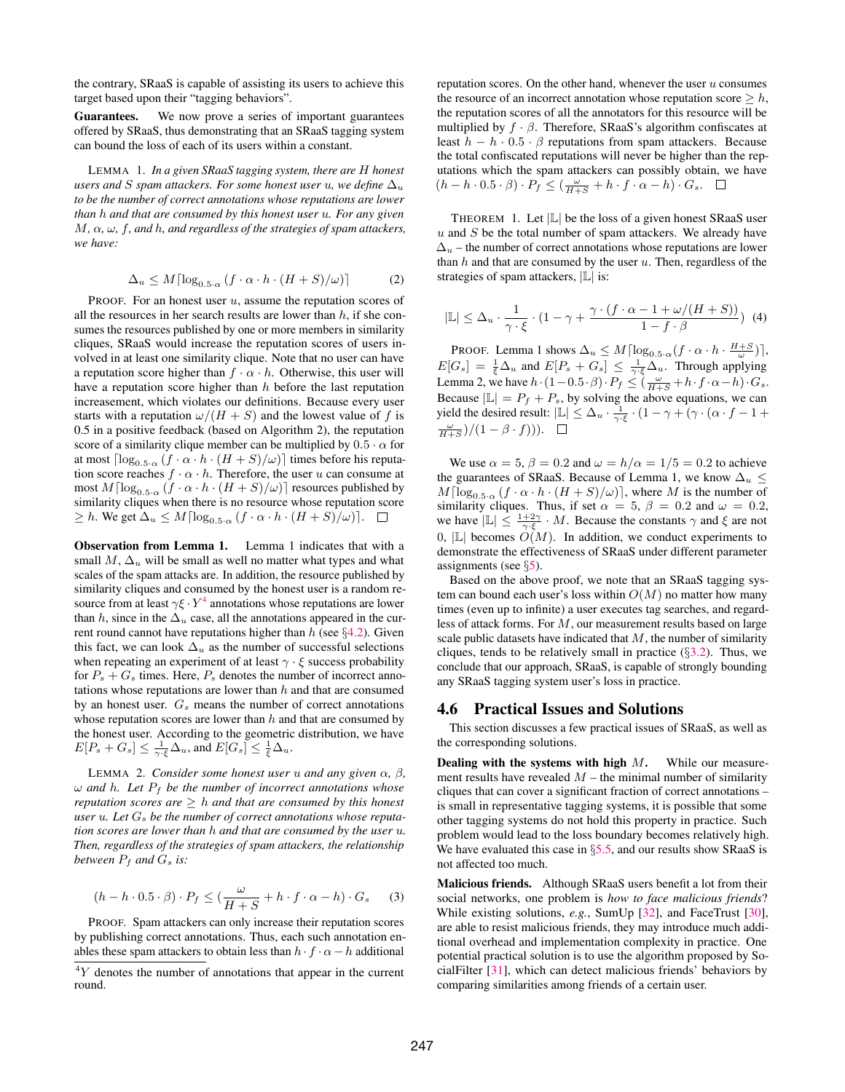the contrary, SRaaS is capable of assisting its users to achieve this target based upon their "tagging behaviors".

Guarantees. We now prove a series of important guarantees offered by SRaaS, thus demonstrating that an SRaaS tagging system can bound the loss of each of its users within a constant.

LEMMA 1. *In a given SRaaS tagging system, there are* H *honest users and* S *spam attackers. For some honest user* u, we define  $\Delta_u$ *to be the number of correct annotations whose reputations are lower than* h *and that are consumed by this honest user* u*. For any given* M*,* α*,* ω*,* f*, and* h*, and regardless of the strategies of spam attackers, we have:*

$$
\Delta_u \le M \lceil \log_{0.5 \cdot \alpha} (f \cdot \alpha \cdot h \cdot (H + S)/\omega) \rceil \tag{2}
$$

PROOF. For an honest user  $u$ , assume the reputation scores of all the resources in her search results are lower than  $h$ , if she consumes the resources published by one or more members in similarity cliques, SRaaS would increase the reputation scores of users involved in at least one similarity clique. Note that no user can have a reputation score higher than  $f \cdot \alpha \cdot h$ . Otherwise, this user will have a reputation score higher than  $h$  before the last reputation increasement, which violates our definitions. Because every user starts with a reputation  $\omega/(H + S)$  and the lowest value of f is 0.5 in a positive feedback (based on Algorithm 2), the reputation score of a similarity clique member can be multiplied by  $0.5 \cdot \alpha$  for at most  $\lceil \log_{0.5\cdot\alpha} (f \cdot \alpha \cdot h \cdot (H + S)/\omega) \rceil$  times before his reputation score reaches  $f \cdot \alpha \cdot h$ . Therefore, the user u can consume at most  $M\lceil \log_{0.5\cdot\alpha} \left( f\cdot\alpha\cdot h\cdot (H+S)/\omega\right)\rceil$  resources published by similarity cliques when there is no resource whose reputation score  $\geq h$ . We get  $\Delta_u \leq M \lceil \log_{0.5\cdot\alpha} (f \cdot \alpha \cdot h \cdot (H+S)/\omega) \rceil$ .  $\Box$ 

Observation from Lemma 1. Lemma 1 indicates that with a small M,  $\Delta_u$  will be small as well no matter what types and what scales of the spam attacks are. In addition, the resource published by similarity cliques and consumed by the honest user is a random resource from at least  $\gamma \xi \cdot Y^4$  $\gamma \xi \cdot Y^4$  annotations whose reputations are lower than h, since in the  $\Delta_u$  case, all the annotations appeared in the current round cannot have reputations higher than  $h$  (see §[4.2\)](#page-4-0). Given this fact, we can look  $\Delta_u$  as the number of successful selections when repeating an experiment of at least  $\gamma \cdot \xi$  success probability for  $P_s + G_s$  times. Here,  $P_s$  denotes the number of incorrect annotations whose reputations are lower than  $h$  and that are consumed by an honest user.  $G_s$  means the number of correct annotations whose reputation scores are lower than  $h$  and that are consumed by the honest user. According to the geometric distribution, we have  $E[P_s + G_s] \leq \frac{1}{\gamma \cdot \xi} \Delta_u$ , and  $E[G_s] \leq \frac{1}{\xi} \Delta_u$ .

**LEMMA** 2. *Consider some honest user u and any given*  $\alpha$ ,  $\beta$ ,  $\omega$  *and* h. Let  $P_f$  be the number of incorrect annotations whose *reputation scores are*  $\geq$  *h and that are consumed by this honest* user u. Let  $G_s$  be the number of correct annotations whose reputa*tion scores are lower than* h *and that are consumed by the user* u*. Then, regardless of the strategies of spam attackers, the relationship between*  $P_f$  *and*  $G_s$  *is:* 

$$
(h - h \cdot 0.5 \cdot \beta) \cdot P_f \le (\frac{\omega}{H + S} + h \cdot f \cdot \alpha - h) \cdot G_s \tag{3}
$$

PROOF. Spam attackers can only increase their reputation scores by publishing correct annotations. Thus, each such annotation enables these spam attackers to obtain less than  $h \cdot f \cdot \alpha - h$  additional

reputation scores. On the other hand, whenever the user  $u$  consumes the resource of an incorrect annotation whose reputation score  $\geq h$ , the reputation scores of all the annotators for this resource will be multiplied by  $f \cdot \beta$ . Therefore, SRaaS's algorithm confiscates at least  $h - h \cdot 0.5 \cdot \beta$  reputations from spam attackers. Because the total confiscated reputations will never be higher than the reputations which the spam attackers can possibly obtain, we have  $(h-h\cdot 0.5\cdot \beta)\cdot P_f\leq (\frac{\omega}{H+S}+h\cdot f\cdot \alpha-h)\cdot G_s.$ 

THEOREM 1. Let  $|L|$  be the loss of a given honest SRaaS user  $u$  and  $S$  be the total number of spam attackers. We already have  $\Delta_u$  – the number of correct annotations whose reputations are lower than  $h$  and that are consumed by the user  $u$ . Then, regardless of the strategies of spam attackers,  $|\mathbb{L}|$  is:

$$
|\mathbb{L}| \leq \Delta_u \cdot \frac{1}{\gamma \cdot \xi} \cdot (1 - \gamma + \frac{\gamma \cdot (f \cdot \alpha - 1 + \omega/(H + S))}{1 - f \cdot \beta}) \tag{4}
$$

PROOF. Lemma 1 shows  $\Delta_u \leq M \lceil \log_{0.5\cdot\alpha}(f \cdot \alpha \cdot h \cdot \frac{H+S}{\omega}) \rceil$ ,  $E[G_s] = \frac{1}{\xi} \Delta_u$  and  $E[P_s + G_s] \leq \frac{1}{\gamma \cdot \xi} \Delta_u$ . Through applying Lemma 2, we have  $h \cdot (1 - 0.5 \cdot \beta) \cdot P_f \le (\frac{\omega}{H+S} + h \cdot f \cdot \alpha - h) \cdot G_s$ . Because  $|\mathbb{L}| = P_f + P_s$ , by solving the above equations, we can yield the desired result:  $|\mathbb{L}| \leq \Delta_u \cdot \frac{1}{\gamma \cdot \xi} \cdot (1 - \gamma + (\gamma \cdot (\alpha \cdot f - 1 + \alpha)))(1 - \beta \cdot \xi))$  $\frac{\omega}{H+S}$  $)/(1-\beta \cdot f))$ .

We use  $\alpha = 5$ ,  $\beta = 0.2$  and  $\omega = h/\alpha = 1/5 = 0.2$  to achieve the guarantees of SRaaS. Because of Lemma 1, we know  $\Delta_u \leq$  $M\lceil \log_{0.5\cdot\alpha}(f\cdot\alpha\cdot h\cdot(H+S)/\omega)\rceil$ , where M is the number of similarity cliques. Thus, if set  $\alpha = 5$ ,  $\beta = 0.2$  and  $\omega = 0.2$ , we have  $|\mathbb{L}| \leq \frac{1+2\gamma}{\gamma \cdot \xi} \cdot M$ . Because the constants  $\gamma$  and  $\xi$  are not 0,  $|\mathbb{L}|$  becomes  $O(M)$ . In addition, we conduct experiments to demonstrate the effectiveness of SRaaS under different parameter assignments (see §[5\)](#page-7-0).

Based on the above proof, we note that an SRaaS tagging system can bound each user's loss within  $O(M)$  no matter how many times (even up to infinite) a user executes tag searches, and regardless of attack forms. For M, our measurement results based on large scale public datasets have indicated that  $M$ , the number of similarity cliques, tends to be relatively small in practice  $(\S3.2)$  $(\S3.2)$ . Thus, we conclude that our approach, SRaaS, is capable of strongly bounding any SRaaS tagging system user's loss in practice.

#### <span id="page-6-0"></span>4.6 Practical Issues and Solutions

This section discusses a few practical issues of SRaaS, as well as the corresponding solutions.

Dealing with the systems with high  $M$ . While our measurement results have revealed  $M$  – the minimal number of similarity cliques that can cover a significant fraction of correct annotations – is small in representative tagging systems, it is possible that some other tagging systems do not hold this property in practice. Such problem would lead to the loss boundary becomes relatively high. We have evaluated this case in §[5.5,](#page-10-1) and our results show SRaaS is not affected too much.

Malicious friends. Although SRaaS users benefit a lot from their social networks, one problem is *how to face malicious friends*? While existing solutions, *e.g.*, SumUp [\[32\]](#page-11-29), and FaceTrust [\[30\]](#page-11-35), are able to resist malicious friends, they may introduce much additional overhead and implementation complexity in practice. One potential practical solution is to use the algorithm proposed by SocialFilter [\[31\]](#page-11-36), which can detect malicious friends' behaviors by comparing similarities among friends of a certain user.

<span id="page-6-1"></span> $4Y$  denotes the number of annotations that appear in the current round.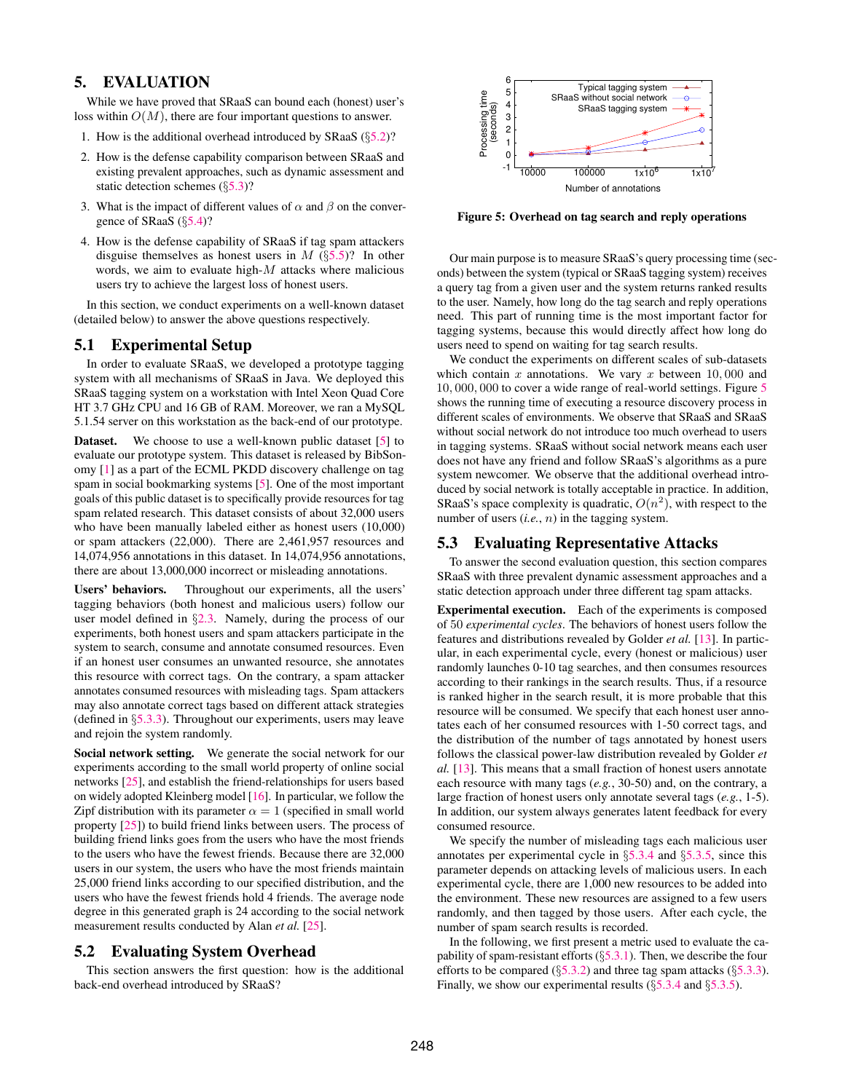# <span id="page-7-0"></span>5. EVALUATION

While we have proved that SRaaS can bound each (honest) user's loss within  $O(M)$ , there are four important questions to answer.

- 1. How is the additional overhead introduced by SRaaS  $(\S 5.2)$  $(\S 5.2)$ ?
- 2. How is the defense capability comparison between SRaaS and existing prevalent approaches, such as dynamic assessment and static detection schemes (§[5.3\)](#page-7-2)?
- 3. What is the impact of different values of  $\alpha$  and  $\beta$  on the convergence of SRaaS (§[5.4\)](#page-10-0)?
- 4. How is the defense capability of SRaaS if tag spam attackers disguise themselves as honest users in  $M$  (§[5.5\)](#page-10-1)? In other words, we aim to evaluate high-M attacks where malicious users try to achieve the largest loss of honest users.

In this section, we conduct experiments on a well-known dataset (detailed below) to answer the above questions respectively.

## 5.1 Experimental Setup

In order to evaluate SRaaS, we developed a prototype tagging system with all mechanisms of SRaaS in Java. We deployed this SRaaS tagging system on a workstation with Intel Xeon Quad Core HT 3.7 GHz CPU and 16 GB of RAM. Moreover, we ran a MySQL 5.1.54 server on this workstation as the back-end of our prototype.

**Dataset.** We choose to use a well-known public dataset [\[5\]](#page-11-20) to evaluate our prototype system. This dataset is released by BibSonomy [\[1\]](#page-11-2) as a part of the ECML PKDD discovery challenge on tag spam in social bookmarking systems [\[5\]](#page-11-20). One of the most important goals of this public dataset is to specifically provide resources for tag spam related research. This dataset consists of about 32,000 users who have been manually labeled either as honest users (10,000) or spam attackers (22,000). There are 2,461,957 resources and 14,074,956 annotations in this dataset. In 14,074,956 annotations, there are about 13,000,000 incorrect or misleading annotations.

Users' behaviors. Throughout our experiments, all the users' tagging behaviors (both honest and malicious users) follow our user model defined in §[2.3.](#page-2-2) Namely, during the process of our experiments, both honest users and spam attackers participate in the system to search, consume and annotate consumed resources. Even if an honest user consumes an unwanted resource, she annotates this resource with correct tags. On the contrary, a spam attacker annotates consumed resources with misleading tags. Spam attackers may also annotate correct tags based on different attack strategies (defined in §[5.3.3\)](#page-8-0). Throughout our experiments, users may leave and rejoin the system randomly.

Social network setting. We generate the social network for our experiments according to the small world property of online social networks [\[25\]](#page-11-37), and establish the friend-relationships for users based on widely adopted Kleinberg model [\[16\]](#page-11-38). In particular, we follow the Zipf distribution with its parameter  $\alpha = 1$  (specified in small world property [\[25\]](#page-11-37)) to build friend links between users. The process of building friend links goes from the users who have the most friends to the users who have the fewest friends. Because there are 32,000 users in our system, the users who have the most friends maintain 25,000 friend links according to our specified distribution, and the users who have the fewest friends hold 4 friends. The average node degree in this generated graph is 24 according to the social network measurement results conducted by Alan *et al.* [\[25\]](#page-11-37).

#### <span id="page-7-1"></span>5.2 Evaluating System Overhead

This section answers the first question: how is the additional back-end overhead introduced by SRaaS?



<span id="page-7-3"></span>Figure 5: Overhead on tag search and reply operations

Our main purpose is to measure SRaaS's query processing time (seconds) between the system (typical or SRaaS tagging system) receives a query tag from a given user and the system returns ranked results to the user. Namely, how long do the tag search and reply operations need. This part of running time is the most important factor for tagging systems, because this would directly affect how long do users need to spend on waiting for tag search results.

We conduct the experiments on different scales of sub-datasets which contain  $x$  annotations. We vary  $x$  between 10,000 and 10, 000, 000 to cover a wide range of real-world settings. Figure [5](#page-7-3) shows the running time of executing a resource discovery process in different scales of environments. We observe that SRaaS and SRaaS without social network do not introduce too much overhead to users in tagging systems. SRaaS without social network means each user does not have any friend and follow SRaaS's algorithms as a pure system newcomer. We observe that the additional overhead introduced by social network is totally acceptable in practice. In addition, SRaaS's space complexity is quadratic,  $O(n^2)$ , with respect to the number of users (*i.e.*, n) in the tagging system.

#### <span id="page-7-2"></span>5.3 Evaluating Representative Attacks

To answer the second evaluation question, this section compares SRaaS with three prevalent dynamic assessment approaches and a static detection approach under three different tag spam attacks.

Experimental execution. Each of the experiments is composed of 50 *experimental cycles*. The behaviors of honest users follow the features and distributions revealed by Golder *et al.* [\[13\]](#page-11-39). In particular, in each experimental cycle, every (honest or malicious) user randomly launches 0-10 tag searches, and then consumes resources according to their rankings in the search results. Thus, if a resource is ranked higher in the search result, it is more probable that this resource will be consumed. We specify that each honest user annotates each of her consumed resources with 1-50 correct tags, and the distribution of the number of tags annotated by honest users follows the classical power-law distribution revealed by Golder *et al.* [\[13\]](#page-11-39). This means that a small fraction of honest users annotate each resource with many tags (*e.g.*, 30-50) and, on the contrary, a large fraction of honest users only annotate several tags (*e.g.*, 1-5). In addition, our system always generates latent feedback for every consumed resource.

We specify the number of misleading tags each malicious user annotates per experimental cycle in §[5.3.4](#page-8-1) and §[5.3.5,](#page-9-0) since this parameter depends on attacking levels of malicious users. In each experimental cycle, there are 1,000 new resources to be added into the environment. These new resources are assigned to a few users randomly, and then tagged by those users. After each cycle, the number of spam search results is recorded.

In the following, we first present a metric used to evaluate the capability of spam-resistant efforts  $(\S 5.3.1)$  $(\S 5.3.1)$ . Then, we describe the four efforts to be compared  $(\S 5.3.2)$  $(\S 5.3.2)$  and three tag spam attacks  $(\S 5.3.3)$  $(\S 5.3.3)$ . Finally, we show our experimental results  $(\S 5.3.4$  $(\S 5.3.4$  and  $\S 5.3.5)$  $\S 5.3.5)$ .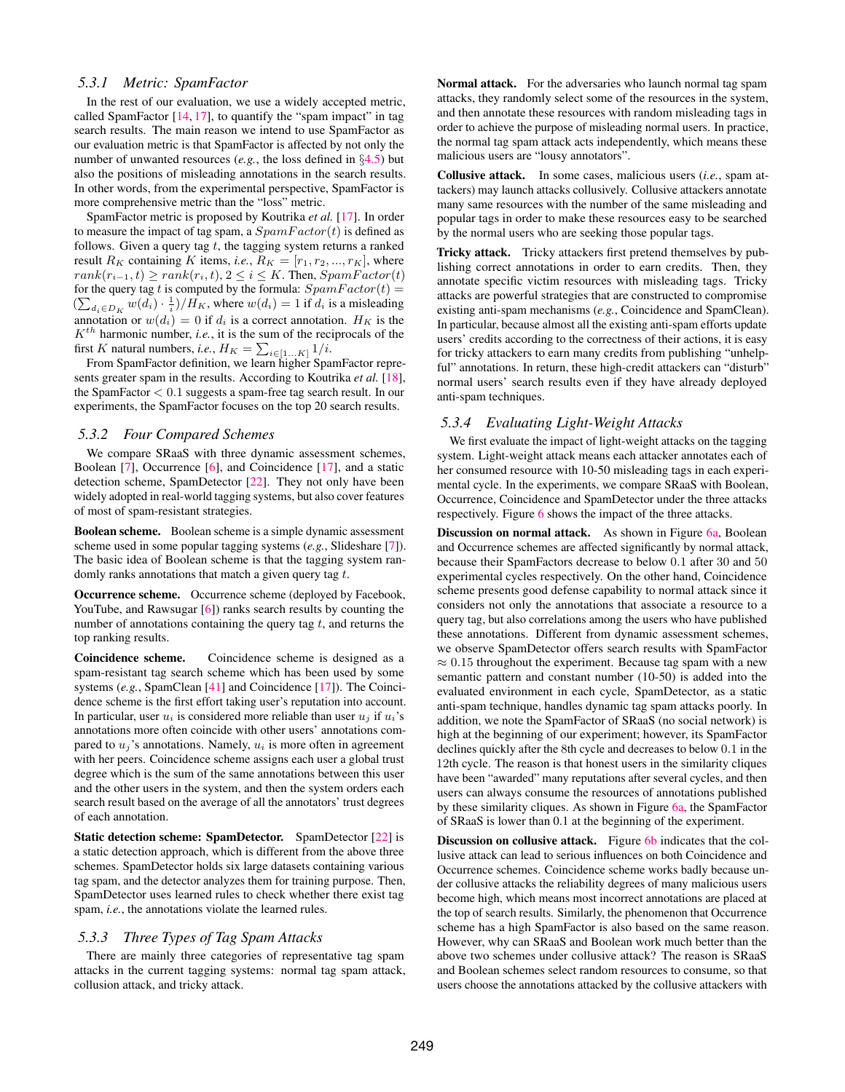#### <span id="page-8-2"></span>*5.3.1 Metric: SpamFactor*

In the rest of our evaluation, we use a widely accepted metric, called SpamFactor  $[14, 17]$  $[14, 17]$  $[14, 17]$ , to quantify the "spam impact" in tag search results. The main reason we intend to use SpamFactor as our evaluation metric is that SpamFactor is affected by not only the number of unwanted resources (*e.g.*, the loss defined in §[4.5\)](#page-5-1) but also the positions of misleading annotations in the search results. In other words, from the experimental perspective, SpamFactor is more comprehensive metric than the "loss" metric.

SpamFactor metric is proposed by Koutrika *et al.* [\[17\]](#page-11-5). In order to measure the impact of tag spam, a  $SpamFactor(t)$  is defined as follows. Given a query tag  $t$ , the tagging system returns a ranked result  $R_K$  containing K items, *i.e.*,  $R_K = [r_1, r_2, ..., r_K]$ , where  $rank(r_{i-1}, t) \ge rank(r_i, t), 2 \le i \le K$ . Then,  $SpanFactor(t)$ for the query tag t is computed by the formula:  $SpamFactor(t) =$  $(\sum_{d_i \in D_K} w(d_i) \cdot \frac{1}{i})/H_K$ , where  $w(d_i) = 1$  if  $d_i$  is a misleading annotation or  $w(d_i) = 0$  if  $d_i$  is a correct annotation.  $H_K$  is the  $K^{th}$  harmonic number, *i.e.*, it is the sum of the reciprocals of the first K natural numbers, *i.e.*,  $H_K = \sum_{i \in [1...K]} 1/i$ .

From SpamFactor definition, we learn higher SpamFactor represents greater spam in the results. According to Koutrika *et al.* [\[18\]](#page-11-40), the SpamFactor < 0.1 suggests a spam-free tag search result. In our experiments, the SpamFactor focuses on the top 20 search results.

#### <span id="page-8-3"></span>*5.3.2 Four Compared Schemes*

We compare SRaaS with three dynamic assessment schemes, Boolean [\[7\]](#page-11-21), Occurrence [\[6\]](#page-11-22), and Coincidence [\[17\]](#page-11-5), and a static detection scheme, SpamDetector [\[22\]](#page-11-10). They not only have been widely adopted in real-world tagging systems, but also cover features of most of spam-resistant strategies.

Boolean scheme. Boolean scheme is a simple dynamic assessment scheme used in some popular tagging systems (*e.g.*, Slideshare [\[7\]](#page-11-21)). The basic idea of Boolean scheme is that the tagging system randomly ranks annotations that match a given query tag  $t$ .

Occurrence scheme. Occurrence scheme (deployed by Facebook, YouTube, and Rawsugar [\[6\]](#page-11-22)) ranks search results by counting the number of annotations containing the query tag  $t$ , and returns the top ranking results.

Coincidence scheme. Coincidence scheme is designed as a spam-resistant tag search scheme which has been used by some systems (*e.g.*, SpamClean [\[41\]](#page-11-16) and Coincidence [\[17\]](#page-11-5)). The Coincidence scheme is the first effort taking user's reputation into account. In particular, user  $u_i$  is considered more reliable than user  $u_i$  if  $u_i$ 's annotations more often coincide with other users' annotations compared to  $u_i$ 's annotations. Namely,  $u_i$  is more often in agreement with her peers. Coincidence scheme assigns each user a global trust degree which is the sum of the same annotations between this user and the other users in the system, and then the system orders each search result based on the average of all the annotators' trust degrees of each annotation.

Static detection scheme: SpamDetector. SpamDetector [\[22\]](#page-11-10) is a static detection approach, which is different from the above three schemes. SpamDetector holds six large datasets containing various tag spam, and the detector analyzes them for training purpose. Then, SpamDetector uses learned rules to check whether there exist tag spam, *i.e.*, the annotations violate the learned rules.

#### <span id="page-8-0"></span>*5.3.3 Three Types of Tag Spam Attacks*

There are mainly three categories of representative tag spam attacks in the current tagging systems: normal tag spam attack, collusion attack, and tricky attack.

Normal attack. For the adversaries who launch normal tag spam attacks, they randomly select some of the resources in the system, and then annotate these resources with random misleading tags in order to achieve the purpose of misleading normal users. In practice, the normal tag spam attack acts independently, which means these malicious users are "lousy annotators".

Collusive attack. In some cases, malicious users (*i.e.*, spam attackers) may launch attacks collusively. Collusive attackers annotate many same resources with the number of the same misleading and popular tags in order to make these resources easy to be searched by the normal users who are seeking those popular tags.

Tricky attack. Tricky attackers first pretend themselves by publishing correct annotations in order to earn credits. Then, they annotate specific victim resources with misleading tags. Tricky attacks are powerful strategies that are constructed to compromise existing anti-spam mechanisms (*e.g.*, Coincidence and SpamClean). In particular, because almost all the existing anti-spam efforts update users' credits according to the correctness of their actions, it is easy for tricky attackers to earn many credits from publishing "unhelpful" annotations. In return, these high-credit attackers can "disturb" normal users' search results even if they have already deployed anti-spam techniques.

# <span id="page-8-1"></span>*5.3.4 Evaluating Light-Weight Attacks*

We first evaluate the impact of light-weight attacks on the tagging system. Light-weight attack means each attacker annotates each of her consumed resource with 10-50 misleading tags in each experimental cycle. In the experiments, we compare SRaaS with Boolean, Occurrence, Coincidence and SpamDetector under the three attacks respectively. Figure [6](#page-9-1) shows the impact of the three attacks.

Discussion on normal attack. As shown in Figure [6a,](#page-9-2) Boolean and Occurrence schemes are affected significantly by normal attack, because their SpamFactors decrease to below 0.1 after 30 and 50 experimental cycles respectively. On the other hand, Coincidence scheme presents good defense capability to normal attack since it considers not only the annotations that associate a resource to a query tag, but also correlations among the users who have published these annotations. Different from dynamic assessment schemes, we observe SpamDetector offers search results with SpamFactor  $\approx 0.15$  throughout the experiment. Because tag spam with a new semantic pattern and constant number (10-50) is added into the evaluated environment in each cycle, SpamDetector, as a static anti-spam technique, handles dynamic tag spam attacks poorly. In addition, we note the SpamFactor of SRaaS (no social network) is high at the beginning of our experiment; however, its SpamFactor declines quickly after the 8th cycle and decreases to below 0.1 in the 12th cycle. The reason is that honest users in the similarity cliques have been "awarded" many reputations after several cycles, and then users can always consume the resources of annotations published by these similarity cliques. As shown in Figure [6a,](#page-9-2) the SpamFactor of SRaaS is lower than 0.1 at the beginning of the experiment.

Discussion on collusive attack. Figure [6b](#page-9-3) indicates that the collusive attack can lead to serious influences on both Coincidence and Occurrence schemes. Coincidence scheme works badly because under collusive attacks the reliability degrees of many malicious users become high, which means most incorrect annotations are placed at the top of search results. Similarly, the phenomenon that Occurrence scheme has a high SpamFactor is also based on the same reason. However, why can SRaaS and Boolean work much better than the above two schemes under collusive attack? The reason is SRaaS and Boolean schemes select random resources to consume, so that users choose the annotations attacked by the collusive attackers with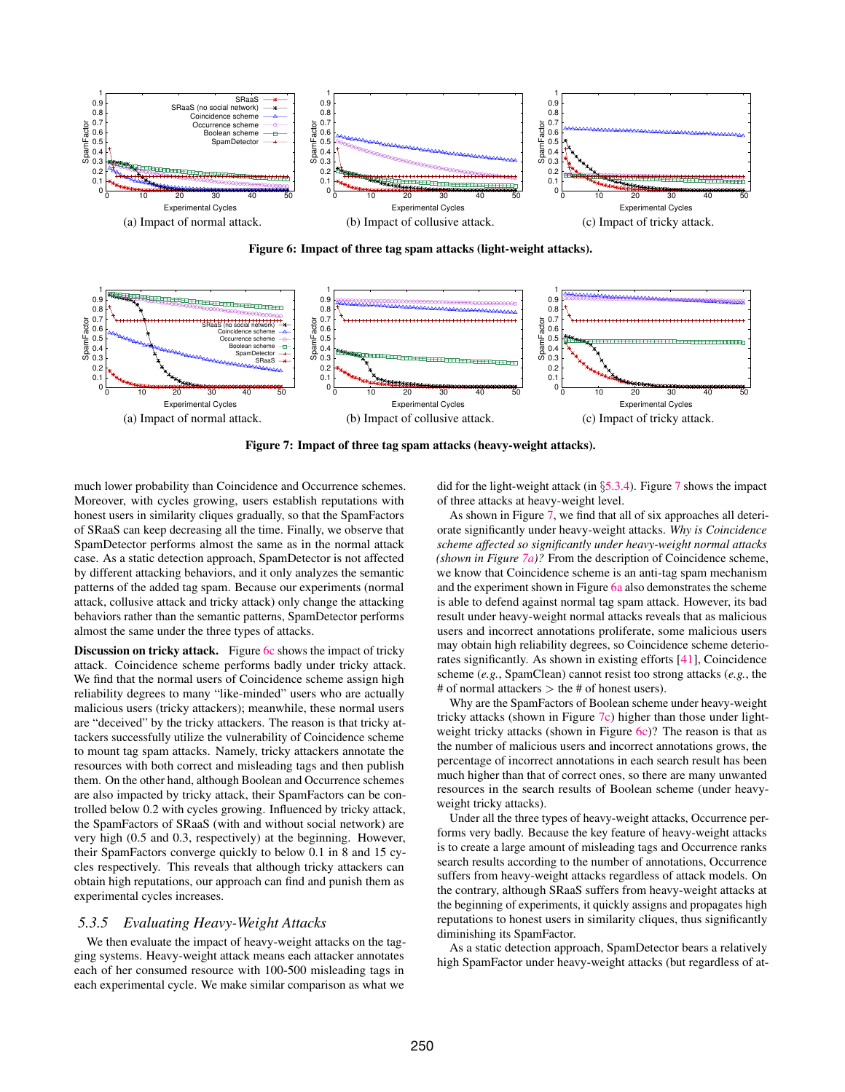<span id="page-9-2"></span>

<span id="page-9-4"></span><span id="page-9-3"></span>Figure 6: Impact of three tag spam attacks (light-weight attacks).

<span id="page-9-6"></span>

Figure 7: Impact of three tag spam attacks (heavy-weight attacks).

much lower probability than Coincidence and Occurrence schemes. Moreover, with cycles growing, users establish reputations with honest users in similarity cliques gradually, so that the SpamFactors of SRaaS can keep decreasing all the time. Finally, we observe that SpamDetector performs almost the same as in the normal attack case. As a static detection approach, SpamDetector is not affected by different attacking behaviors, and it only analyzes the semantic patterns of the added tag spam. Because our experiments (normal attack, collusive attack and tricky attack) only change the attacking behaviors rather than the semantic patterns, SpamDetector performs almost the same under the three types of attacks.

Discussion on tricky attack. Figure [6c](#page-9-4) shows the impact of tricky attack. Coincidence scheme performs badly under tricky attack. We find that the normal users of Coincidence scheme assign high reliability degrees to many "like-minded" users who are actually malicious users (tricky attackers); meanwhile, these normal users are "deceived" by the tricky attackers. The reason is that tricky attackers successfully utilize the vulnerability of Coincidence scheme to mount tag spam attacks. Namely, tricky attackers annotate the resources with both correct and misleading tags and then publish them. On the other hand, although Boolean and Occurrence schemes are also impacted by tricky attack, their SpamFactors can be controlled below 0.2 with cycles growing. Influenced by tricky attack, the SpamFactors of SRaaS (with and without social network) are very high (0.5 and 0.3, respectively) at the beginning. However, their SpamFactors converge quickly to below 0.1 in 8 and 15 cycles respectively. This reveals that although tricky attackers can obtain high reputations, our approach can find and punish them as experimental cycles increases.

#### <span id="page-9-0"></span>*5.3.5 Evaluating Heavy-Weight Attacks*

We then evaluate the impact of heavy-weight attacks on the tagging systems. Heavy-weight attack means each attacker annotates each of her consumed resource with 100-500 misleading tags in each experimental cycle. We make similar comparison as what we

<span id="page-9-7"></span><span id="page-9-5"></span><span id="page-9-1"></span>did for the light-weight attack (in §[5.3.4\)](#page-8-1). Figure [7](#page-9-5) shows the impact of three attacks at heavy-weight level.

As shown in Figure [7,](#page-9-5) we find that all of six approaches all deteriorate significantly under heavy-weight attacks. *Why is Coincidence scheme affected so significantly under heavy-weight normal attacks (shown in Figure [7a\)](#page-9-6)?* From the description of Coincidence scheme, we know that Coincidence scheme is an anti-tag spam mechanism and the experiment shown in Figure [6a](#page-9-2) also demonstrates the scheme is able to defend against normal tag spam attack. However, its bad result under heavy-weight normal attacks reveals that as malicious users and incorrect annotations proliferate, some malicious users may obtain high reliability degrees, so Coincidence scheme deteriorates significantly. As shown in existing efforts [\[41\]](#page-11-16), Coincidence scheme (*e.g.*, SpamClean) cannot resist too strong attacks (*e.g.*, the # of normal attackers  $>$  the # of honest users).

Why are the SpamFactors of Boolean scheme under heavy-weight tricky attacks (shown in Figure [7c\)](#page-9-7) higher than those under light-weight tricky attacks (shown in Figure [6c\)](#page-9-4)? The reason is that as the number of malicious users and incorrect annotations grows, the percentage of incorrect annotations in each search result has been much higher than that of correct ones, so there are many unwanted resources in the search results of Boolean scheme (under heavyweight tricky attacks).

Under all the three types of heavy-weight attacks, Occurrence performs very badly. Because the key feature of heavy-weight attacks is to create a large amount of misleading tags and Occurrence ranks search results according to the number of annotations, Occurrence suffers from heavy-weight attacks regardless of attack models. On the contrary, although SRaaS suffers from heavy-weight attacks at the beginning of experiments, it quickly assigns and propagates high reputations to honest users in similarity cliques, thus significantly diminishing its SpamFactor.

As a static detection approach, SpamDetector bears a relatively high SpamFactor under heavy-weight attacks (but regardless of at-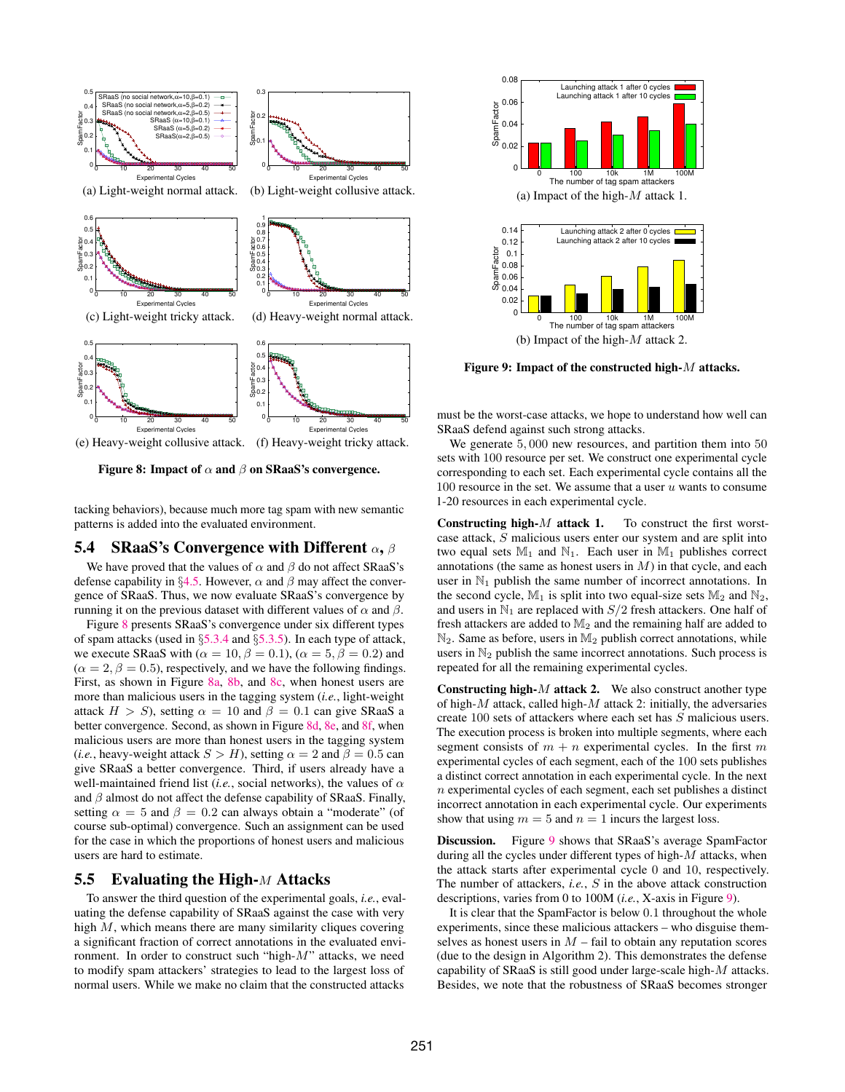<span id="page-10-5"></span><span id="page-10-4"></span><span id="page-10-3"></span>

<span id="page-10-8"></span><span id="page-10-7"></span>Figure 8: Impact of  $\alpha$  and  $\beta$  on SRaaS's convergence.

tacking behaviors), because much more tag spam with new semantic patterns is added into the evaluated environment.

#### <span id="page-10-0"></span>5.4 SRaaS's Convergence with Different  $\alpha$ ,  $\beta$

We have proved that the values of  $\alpha$  and  $\beta$  do not affect SRaaS's defense capability in §[4.5.](#page-5-1) However,  $\alpha$  and  $\beta$  may affect the convergence of SRaaS. Thus, we now evaluate SRaaS's convergence by running it on the previous dataset with different values of  $\alpha$  and  $\beta$ .

Figure [8](#page-10-2) presents SRaaS's convergence under six different types of spam attacks (used in §[5.3.4](#page-8-1) and §[5.3.5\)](#page-9-0). In each type of attack, we execute SRaaS with ( $\alpha = 10, \beta = 0.1$ ), ( $\alpha = 5, \beta = 0.2$ ) and  $(\alpha = 2, \beta = 0.5)$ , respectively, and we have the following findings. First, as shown in Figure [8a,](#page-10-3) [8b,](#page-10-4) and [8c,](#page-10-5) when honest users are more than malicious users in the tagging system (*i.e.*, light-weight attack  $H > S$ ), setting  $\alpha = 10$  and  $\beta = 0.1$  can give SRaaS a better convergence. Second, as shown in Figure [8d,](#page-10-6) [8e,](#page-10-7) and [8f,](#page-10-8) when malicious users are more than honest users in the tagging system (*i.e.*, heavy-weight attack  $S > H$ ), setting  $\alpha = 2$  and  $\beta = 0.5$  can give SRaaS a better convergence. Third, if users already have a well-maintained friend list (*i.e.*, social networks), the values of  $\alpha$ and  $\beta$  almost do not affect the defense capability of SRaaS. Finally, setting  $\alpha = 5$  and  $\beta = 0.2$  can always obtain a "moderate" (of course sub-optimal) convergence. Such an assignment can be used for the case in which the proportions of honest users and malicious users are hard to estimate.

# <span id="page-10-1"></span>5.5 Evaluating the High- $M$  Attacks

To answer the third question of the experimental goals, *i.e.*, evaluating the defense capability of SRaaS against the case with very high M, which means there are many similarity cliques covering a significant fraction of correct annotations in the evaluated environment. In order to construct such "high-M" attacks, we need to modify spam attackers' strategies to lead to the largest loss of normal users. While we make no claim that the constructed attacks



<span id="page-10-9"></span>Figure 9: Impact of the constructed high-M attacks.

<span id="page-10-6"></span><span id="page-10-2"></span>must be the worst-case attacks, we hope to understand how well can SRaaS defend against such strong attacks.

We generate  $5,000$  new resources, and partition them into  $50$ sets with 100 resource per set. We construct one experimental cycle corresponding to each set. Each experimental cycle contains all the 100 resource in the set. We assume that a user  $u$  wants to consume 1-20 resources in each experimental cycle.

**Constructing high-** $M$  attack 1. To construct the first worstcase attack, S malicious users enter our system and are split into two equal sets  $\mathbb{M}_1$  and  $\mathbb{N}_1$ . Each user in  $\mathbb{M}_1$  publishes correct annotations (the same as honest users in  $M$ ) in that cycle, and each user in  $\mathbb{N}_1$  publish the same number of incorrect annotations. In the second cycle,  $M_1$  is split into two equal-size sets  $M_2$  and  $N_2$ , and users in  $\mathbb{N}_1$  are replaced with  $S/2$  fresh attackers. One half of fresh attackers are added to  $M_2$  and the remaining half are added to  $\mathbb{N}_2$ . Same as before, users in  $\mathbb{M}_2$  publish correct annotations, while users in  $\mathbb{N}_2$  publish the same incorrect annotations. Such process is repeated for all the remaining experimental cycles.

**Constructing high-** $M$  attack 2. We also construct another type of high- $M$  attack, called high- $M$  attack 2: initially, the adversaries create 100 sets of attackers where each set has S malicious users. The execution process is broken into multiple segments, where each segment consists of  $m + n$  experimental cycles. In the first m experimental cycles of each segment, each of the 100 sets publishes a distinct correct annotation in each experimental cycle. In the next n experimental cycles of each segment, each set publishes a distinct incorrect annotation in each experimental cycle. Our experiments show that using  $m = 5$  and  $n = 1$  incurs the largest loss.

Discussion. Figure [9](#page-10-9) shows that SRaaS's average SpamFactor during all the cycles under different types of high- $M$  attacks, when the attack starts after experimental cycle 0 and 10, respectively. The number of attackers, *i.e.*, S in the above attack construction descriptions, varies from 0 to 100M (*i.e.*, X-axis in Figure [9\)](#page-10-9).

It is clear that the SpamFactor is below 0.1 throughout the whole experiments, since these malicious attackers – who disguise themselves as honest users in  $M$  – fail to obtain any reputation scores (due to the design in Algorithm 2). This demonstrates the defense capability of SRaaS is still good under large-scale high-M attacks. Besides, we note that the robustness of SRaaS becomes stronger